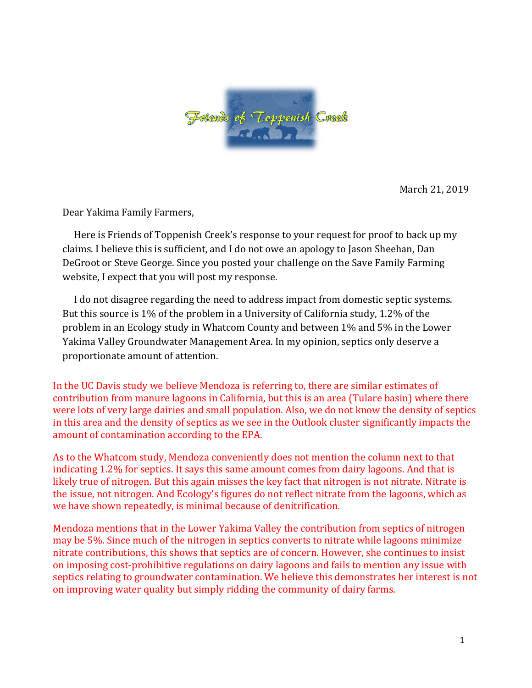

March 21, 2019

Dear Yakima Family Farmers,

Here is Friends of Toppenish Creek's response to your request for proof to back up my claims. I believe this is sufficient, and I do not owe an apology to Jason Sheehan, Dan DeGroot or Steve George. Since you posted your challenge on the Save Family Farming website, I expect that you will post my response.

I do not disagree regarding the need to address impact from domestic septic systems. But this source is 1% of the problem in a University of California study, 1.2% of the problem in an Ecology study in Whatcom County and between 1% and 5% in the Lower Yakima Valley Groundwater Management Area. In my opinion, septics only deserve a proportionate amount of attention.

In the UC Davis study we believe Mendoza is referring to, there are similar estimates of contribution from manure lagoons in California, but this is an area (Tulare basin) where there were lots of very large dairies and small population. Also, we do not know the density of septics in this area and the density of septics as we see in the Outlook cluster significantly impacts the amount of contamination according to the EPA.

As to the Whatcom study, Mendoza conveniently does not mention the column next to that indicating 1.2% for septics. It says this same amount comes from dairy lagoons. And that is likely true of nitrogen. But this again misses the key fact that nitrogen is not nitrate. Nitrate is the issue, not nitrogen. And Ecology's figures do not reflect nitrate from the lagoons, which as we have shown repeatedly, is minimal because of denitrification.

Mendoza mentions that in the Lower Yakima Valley the contribution from septics of nitrogen may be 5%. Since much of the nitrogen in septics converts to nitrate while lagoons minimize nitrate contributions, this shows that septics are of concern. However, she continues to insist on imposing cost-prohibitive regulations on dairy lagoons and fails to mention any issue with septics relating to groundwater contamination. We believe this demonstrates her interest is not on improving water quality but simply ridding the community of dairy farms.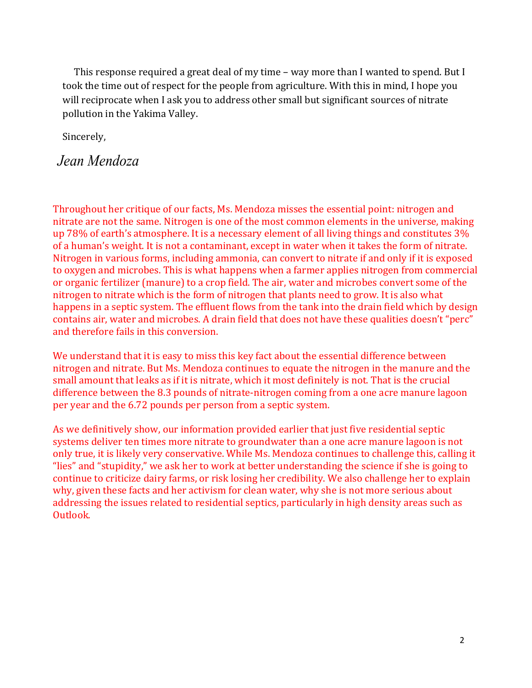This response required a great deal of my time – way more than I wanted to spend. But I took the time out of respect for the people from agriculture. With this in mind, I hope you will reciprocate when I ask you to address other small but significant sources of nitrate pollution in the Yakima Valley.

Sincerely,

*Jean Mendoza*

Throughout her critique of our facts, Ms. Mendoza misses the essential point: nitrogen and nitrate are not the same. Nitrogen is one of the most common elements in the universe, making up 78% of earth's atmosphere. It is a necessary element of all living things and constitutes  $3\%$ of a human's weight. It is not a contaminant, except in water when it takes the form of nitrate. Nitrogen in various forms, including ammonia, can convert to nitrate if and only if it is exposed to oxygen and microbes. This is what happens when a farmer applies nitrogen from commercial or organic fertilizer (manure) to a crop field. The air, water and microbes convert some of the nitrogen to nitrate which is the form of nitrogen that plants need to grow. It is also what happens in a septic system. The effluent flows from the tank into the drain field which by design contains air, water and microbes. A drain field that does not have these qualities doesn't "perc" and therefore fails in this conversion.

We understand that it is easy to miss this key fact about the essential difference between nitrogen and nitrate. But Ms. Mendoza continues to equate the nitrogen in the manure and the small amount that leaks as if it is nitrate, which it most definitely is not. That is the crucial difference between the 8.3 pounds of nitrate-nitrogen coming from a one acre manure lagoon per year and the 6.72 pounds per person from a septic system.

As we definitively show, our information provided earlier that just five residential septic systems deliver ten times more nitrate to groundwater than a one acre manure lagoon is not only true, it is likely very conservative. While Ms. Mendoza continues to challenge this, calling it "lies" and "stupidity," we ask her to work at better understanding the science if she is going to continue to criticize dairy farms, or risk losing her credibility. We also challenge her to explain why, given these facts and her activism for clean water, why she is not more serious about addressing the issues related to residential septics, particularly in high density areas such as Outlook.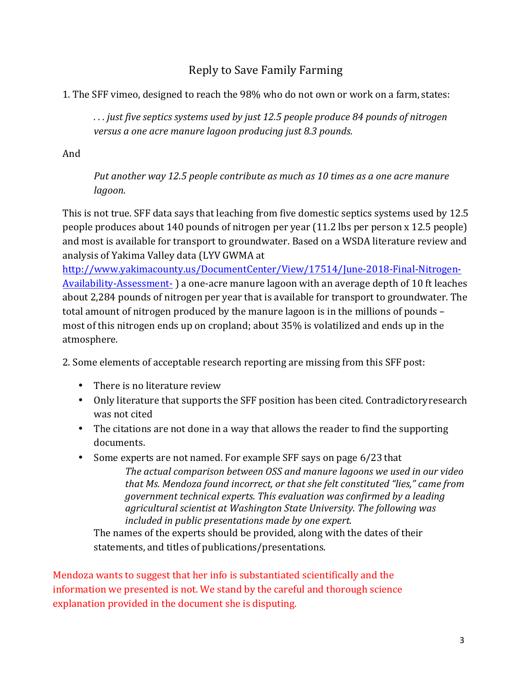## Reply to Save Family Farming

1. The SFF vimeo, designed to reach the 98% who do not own or work on a farm, states:

*. . . just five septics systems used by just 12.5 people produce 84 pounds of nitrogen*  versus a one acre manure lagoon producing just 8.3 pounds.

And

Put another way 12.5 people contribute as much as 10 times as a one acre manure *lagoon.*

This is not true. SFF data says that leaching from five domestic septics systems used by 12.5 people produces about 140 pounds of nitrogen per year (11.2 lbs per person x 12.5 people) and most is available for transport to groundwater. Based on a WSDA literature review and analysis of Yakima Valley data (LYV GWMA at

http://www.yakimacounty.us/DocumentCenter/View/17514/June-2018-Final-Nitrogen-Availability-Assessment- ) a one-acre manure lagoon with an average depth of 10 ft leaches about 2,284 pounds of nitrogen per year that is available for transport to groundwater. The total amount of nitrogen produced by the manure lagoon is in the millions of pounds – most of this nitrogen ends up on cropland; about 35% is volatilized and ends up in the atmosphere.

2. Some elements of acceptable research reporting are missing from this SFF post:

- $\bullet$  There is no literature review
- Only literature that supports the SFF position has been cited. Contradictory research was not cited
- The citations are not done in a way that allows the reader to find the supporting documents.
- Some experts are not named. For example SFF says on page 6/23 that The actual comparison between OSS and manure lagoons we used in our video that Ms. Mendoza found incorrect, or that she felt constituted "lies," came from *government technical experts. This evaluation was confirmed by a leading* agricultural scientist at Washington State University. The following was included in public presentations made by one expert.

The names of the experts should be provided, along with the dates of their statements, and titles of publications/presentations.

Mendoza wants to suggest that her info is substantiated scientifically and the information we presented is not. We stand by the careful and thorough science explanation provided in the document she is disputing.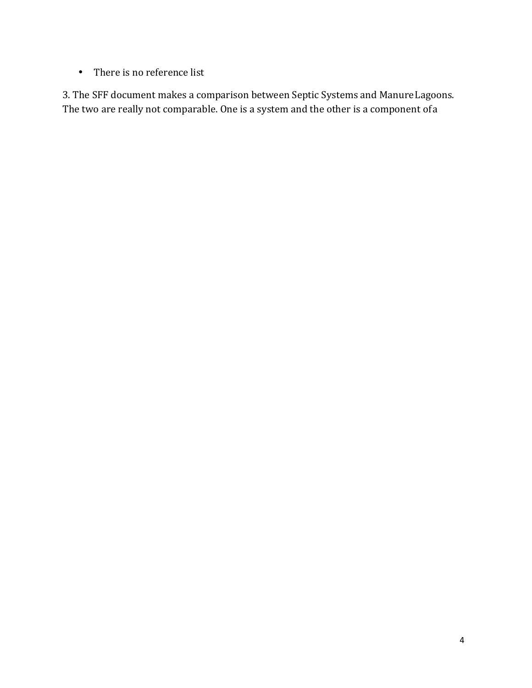• There is no reference list

3. The SFF document makes a comparison between Septic Systems and Manure Lagoons. The two are really not comparable. One is a system and the other is a component of a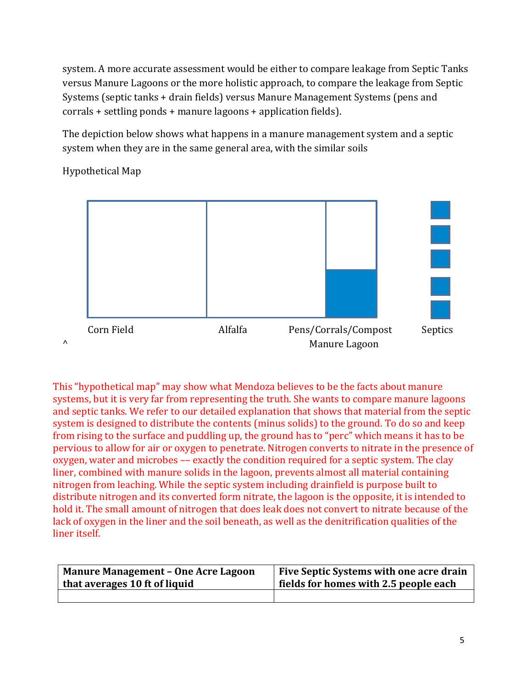system. A more accurate assessment would be either to compare leakage from Septic Tanks versus Manure Lagoons or the more holistic approach, to compare the leakage from Septic Systems (septic tanks + drain fields) versus Manure Management Systems (pens and  $corrals +$  settling ponds  $+$  manure lagoons  $+$  application fields).

The depiction below shows what happens in a manure management system and a septic system when they are in the same general area, with the similar soils

Hypothetical Map



This "hypothetical map" may show what Mendoza believes to be the facts about manure systems, but it is very far from representing the truth. She wants to compare manure lagoons and septic tanks. We refer to our detailed explanation that shows that material from the septic system is designed to distribute the contents (minus solids) to the ground. To do so and keep from rising to the surface and puddling up, the ground has to "perc" which means it has to be pervious to allow for air or oxygen to penetrate. Nitrogen converts to nitrate in the presence of oxygen, water and microbes -- exactly the condition required for a septic system. The clay liner, combined with manure solids in the lagoon, prevents almost all material containing nitrogen from leaching. While the septic system including drainfield is purpose built to distribute nitrogen and its converted form nitrate, the lagoon is the opposite, it is intended to hold it. The small amount of nitrogen that does leak does not convert to nitrate because of the lack of oxygen in the liner and the soil beneath, as well as the denitrification qualities of the liner itself.

| <b>Manure Management - One Acre Lagoon</b> | Five Septic Systems with one acre drain |
|--------------------------------------------|-----------------------------------------|
| that averages 10 ft of liquid              | fields for homes with 2.5 people each   |
|                                            |                                         |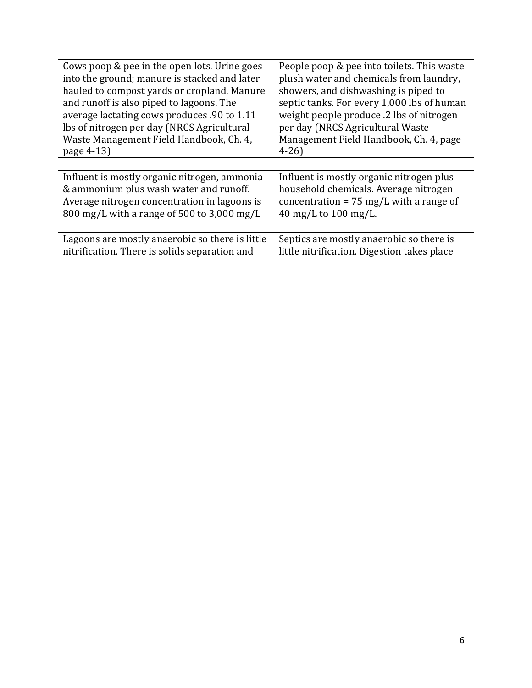| Cows poop & pee in the open lots. Urine goes         | People poop & pee into toilets. This waste        |  |  |
|------------------------------------------------------|---------------------------------------------------|--|--|
| into the ground; manure is stacked and later         | plush water and chemicals from laundry,           |  |  |
| hauled to compost yards or cropland. Manure          | showers, and dishwashing is piped to              |  |  |
| and runoff is also piped to lagoons. The             | septic tanks. For every 1,000 lbs of human        |  |  |
| average lactating cows produces .90 to 1.11          | weight people produce .2 lbs of nitrogen          |  |  |
| lbs of nitrogen per day (NRCS Agricultural           | per day (NRCS Agricultural Waste                  |  |  |
| Waste Management Field Handbook, Ch. 4,              | Management Field Handbook, Ch. 4, page            |  |  |
| page 4-13)                                           | $4 - 26$                                          |  |  |
|                                                      |                                                   |  |  |
|                                                      |                                                   |  |  |
| Influent is mostly organic nitrogen, ammonia         | Influent is mostly organic nitrogen plus          |  |  |
| & ammonium plus wash water and runoff.               | household chemicals. Average nitrogen             |  |  |
| Average nitrogen concentration in lagoons is         | concentration = $75 \text{ mg/L}$ with a range of |  |  |
| $800 \text{ mg/L}$ with a range of 500 to 3,000 mg/L | 40 mg/L to $100$ mg/L.                            |  |  |
|                                                      |                                                   |  |  |
| Lagoons are mostly anaerobic so there is little      | Septics are mostly anaerobic so there is          |  |  |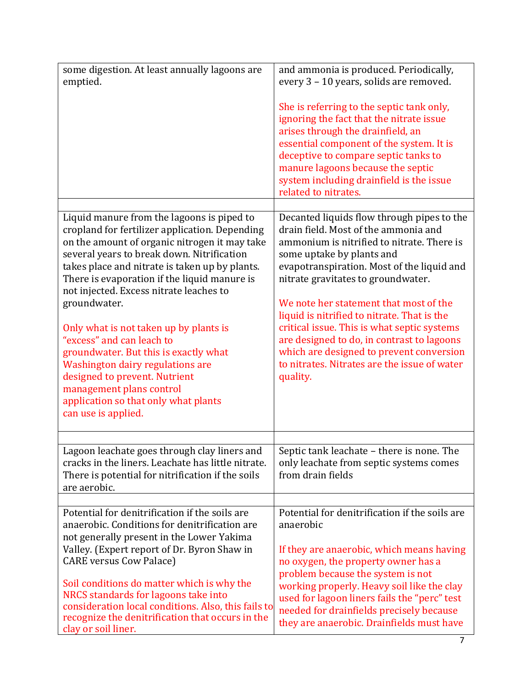| some digestion. At least annually lagoons are<br>emptied.                                                                                                                                                                                                                                                                                                                                                                                                                                                                                                                                  | and ammonia is produced. Periodically,<br>every 3 - 10 years, solids are removed.<br>She is referring to the septic tank only,<br>ignoring the fact that the nitrate issue<br>arises through the drainfield, an<br>essential component of the system. It is<br>deceptive to compare septic tanks to<br>manure lagoons because the septic<br>system including drainfield is the issue<br>related to nitrates.                                                                                      |
|--------------------------------------------------------------------------------------------------------------------------------------------------------------------------------------------------------------------------------------------------------------------------------------------------------------------------------------------------------------------------------------------------------------------------------------------------------------------------------------------------------------------------------------------------------------------------------------------|---------------------------------------------------------------------------------------------------------------------------------------------------------------------------------------------------------------------------------------------------------------------------------------------------------------------------------------------------------------------------------------------------------------------------------------------------------------------------------------------------|
| Liquid manure from the lagoons is piped to                                                                                                                                                                                                                                                                                                                                                                                                                                                                                                                                                 | Decanted liquids flow through pipes to the                                                                                                                                                                                                                                                                                                                                                                                                                                                        |
| cropland for fertilizer application. Depending<br>on the amount of organic nitrogen it may take<br>several years to break down. Nitrification<br>takes place and nitrate is taken up by plants.<br>There is evaporation if the liquid manure is<br>not injected. Excess nitrate leaches to<br>groundwater.<br>Only what is not taken up by plants is<br>"excess" and can leach to<br>groundwater. But this is exactly what<br>Washington dairy regulations are<br>designed to prevent. Nutrient<br>management plans control<br>application so that only what plants<br>can use is applied. | drain field. Most of the ammonia and<br>ammonium is nitrified to nitrate. There is<br>some uptake by plants and<br>evapotranspiration. Most of the liquid and<br>nitrate gravitates to groundwater.<br>We note her statement that most of the<br>liquid is nitrified to nitrate. That is the<br>critical issue. This is what septic systems<br>are designed to do, in contrast to lagoons<br>which are designed to prevent conversion<br>to nitrates. Nitrates are the issue of water<br>quality. |
| Lagoon leachate goes through clay liners and                                                                                                                                                                                                                                                                                                                                                                                                                                                                                                                                               | Septic tank leachate - there is none. The                                                                                                                                                                                                                                                                                                                                                                                                                                                         |
| cracks in the liners. Leachate has little nitrate.<br>There is potential for nitrification if the soils<br>are aerobic.                                                                                                                                                                                                                                                                                                                                                                                                                                                                    | only leachate from septic systems comes<br>from drain fields                                                                                                                                                                                                                                                                                                                                                                                                                                      |
|                                                                                                                                                                                                                                                                                                                                                                                                                                                                                                                                                                                            |                                                                                                                                                                                                                                                                                                                                                                                                                                                                                                   |
| Potential for denitrification if the soils are<br>anaerobic. Conditions for denitrification are<br>not generally present in the Lower Yakima                                                                                                                                                                                                                                                                                                                                                                                                                                               | Potential for denitrification if the soils are<br>anaerobic                                                                                                                                                                                                                                                                                                                                                                                                                                       |
| Valley. (Expert report of Dr. Byron Shaw in<br><b>CARE versus Cow Palace</b> )                                                                                                                                                                                                                                                                                                                                                                                                                                                                                                             | If they are anaerobic, which means having<br>no oxygen, the property owner has a                                                                                                                                                                                                                                                                                                                                                                                                                  |
| Soil conditions do matter which is why the<br>NRCS standards for lagoons take into<br>consideration local conditions. Also, this fails to<br>recognize the denitrification that occurs in the<br>clay or soil liner.                                                                                                                                                                                                                                                                                                                                                                       | problem because the system is not<br>working properly. Heavy soil like the clay<br>used for lagoon liners fails the "perc" test<br>needed for drainfields precisely because<br>they are anaerobic. Drainfields must have                                                                                                                                                                                                                                                                          |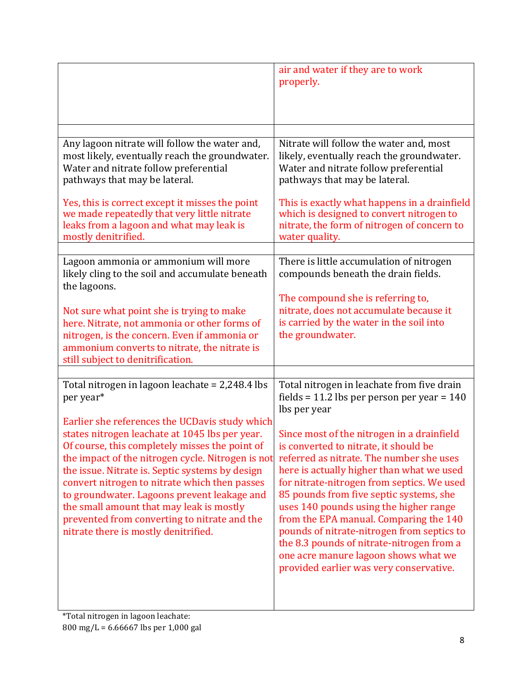|                                                                                                                                                                                                                                                                                                                                                                                                                                                                                                                                                                | air and water if they are to work<br>properly.                                                                                                                                                                                                                                                                                                                                                                                                                                                                                                                                                                                                         |
|----------------------------------------------------------------------------------------------------------------------------------------------------------------------------------------------------------------------------------------------------------------------------------------------------------------------------------------------------------------------------------------------------------------------------------------------------------------------------------------------------------------------------------------------------------------|--------------------------------------------------------------------------------------------------------------------------------------------------------------------------------------------------------------------------------------------------------------------------------------------------------------------------------------------------------------------------------------------------------------------------------------------------------------------------------------------------------------------------------------------------------------------------------------------------------------------------------------------------------|
|                                                                                                                                                                                                                                                                                                                                                                                                                                                                                                                                                                |                                                                                                                                                                                                                                                                                                                                                                                                                                                                                                                                                                                                                                                        |
| Any lagoon nitrate will follow the water and,<br>most likely, eventually reach the groundwater.<br>Water and nitrate follow preferential<br>pathways that may be lateral.<br>Yes, this is correct except it misses the point<br>we made repeatedly that very little nitrate<br>leaks from a lagoon and what may leak is<br>mostly denitrified.                                                                                                                                                                                                                 | Nitrate will follow the water and, most<br>likely, eventually reach the groundwater.<br>Water and nitrate follow preferential<br>pathways that may be lateral.<br>This is exactly what happens in a drainfield<br>which is designed to convert nitrogen to<br>nitrate, the form of nitrogen of concern to<br>water quality.                                                                                                                                                                                                                                                                                                                            |
| Lagoon ammonia or ammonium will more                                                                                                                                                                                                                                                                                                                                                                                                                                                                                                                           | There is little accumulation of nitrogen                                                                                                                                                                                                                                                                                                                                                                                                                                                                                                                                                                                                               |
| likely cling to the soil and accumulate beneath<br>the lagoons.<br>Not sure what point she is trying to make<br>here. Nitrate, not ammonia or other forms of<br>nitrogen, is the concern. Even if ammonia or<br>ammonium converts to nitrate, the nitrate is<br>still subject to denitrification.                                                                                                                                                                                                                                                              | compounds beneath the drain fields.<br>The compound she is referring to,<br>nitrate, does not accumulate because it<br>is carried by the water in the soil into<br>the groundwater.                                                                                                                                                                                                                                                                                                                                                                                                                                                                    |
| Total nitrogen in lagoon leachate = 2,248.4 lbs<br>per year*<br>Earlier she references the UCDavis study which<br>states nitrogen leachate at 1045 lbs per year.<br>Of course, this completely misses the point of<br>the impact of the nitrogen cycle. Nitrogen is not<br>the issue. Nitrate is. Septic systems by design<br>convert nitrogen to nitrate which then passes<br>to groundwater. Lagoons prevent leakage and<br>the small amount that may leak is mostly<br>prevented from converting to nitrate and the<br>nitrate there is mostly denitrified. | Total nitrogen in leachate from five drain<br>fields = 11.2 lbs per person per year = $140$<br>lbs per year<br>Since most of the nitrogen in a drainfield<br>is converted to nitrate, it should be<br>referred as nitrate. The number she uses<br>here is actually higher than what we used<br>for nitrate-nitrogen from septics. We used<br>85 pounds from five septic systems, she<br>uses 140 pounds using the higher range<br>from the EPA manual. Comparing the 140<br>pounds of nitrate-nitrogen from septics to<br>the 8.3 pounds of nitrate-nitrogen from a<br>one acre manure lagoon shows what we<br>provided earlier was very conservative. |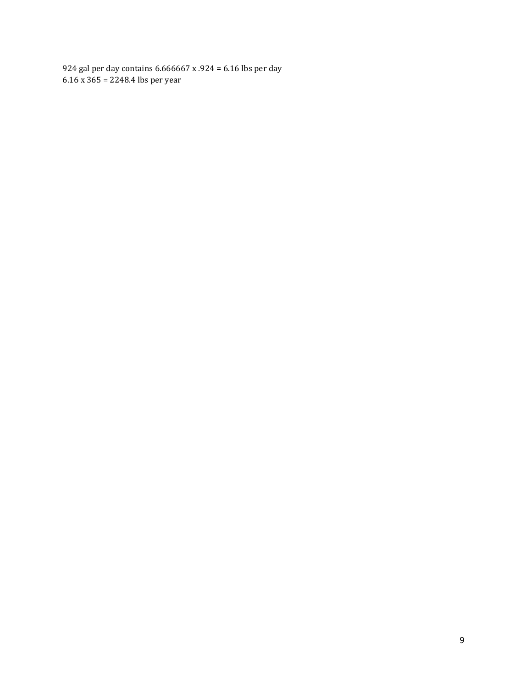924 gal per day contains  $6.666667 \times .924 = 6.16$  lbs per day  $6.16 \times 365 = 2248.4$  lbs per year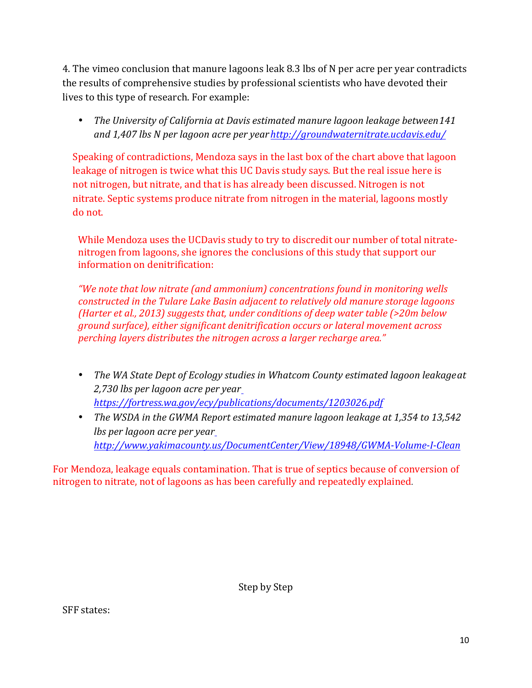4. The vimeo conclusion that manure lagoons leak 8.3 lbs of N per acre per year contradicts the results of comprehensive studies by professional scientists who have devoted their lives to this type of research. For example:

• The University of California at Davis estimated manure lagoon leakage between 141 and 1,407 lbs N per lagoon acre per year http://groundwaternitrate.ucdavis.edu/

Speaking of contradictions, Mendoza says in the last box of the chart above that lagoon leakage of nitrogen is twice what this UC Davis study says. But the real issue here is not nitrogen, but nitrate, and that is has already been discussed. Nitrogen is not nitrate. Septic systems produce nitrate from nitrogen in the material, lagoons mostly do not.

While Mendoza uses the UCDavis study to try to discredit our number of total nitratenitrogen from lagoons, she ignores the conclusions of this study that support our information on denitrification:

*"We note that low nitrate (and ammonium) concentrations found in monitoring wells constructed in the Tulare Lake Basin adjacent to relatively old manure storage lagoons (Harter et al., 2013)* suggests that, under conditions of deep water table (>20m below *ground surface), either significant denitrification occurs or lateral movement across perching layers distributes the nitrogen across a larger recharge area."* 

- The WA State Dept of Ecology studies in Whatcom County estimated lagoon leakageat *2,730 lbs per lagoon acre per year https://fortress.wa.gov/ecy/publications/documents/1203026.pdf*
- The WSDA in the GWMA Report estimated manure lagoon leakage at 1,354 to 13,542 *lbs per lagoon acre per year http://www.yakimacounty.us/DocumentCenter/View/18948/GWMA-Volume-I-Clean*

For Mendoza, leakage equals contamination. That is true of septics because of conversion of nitrogen to nitrate, not of lagoons as has been carefully and repeatedly explained.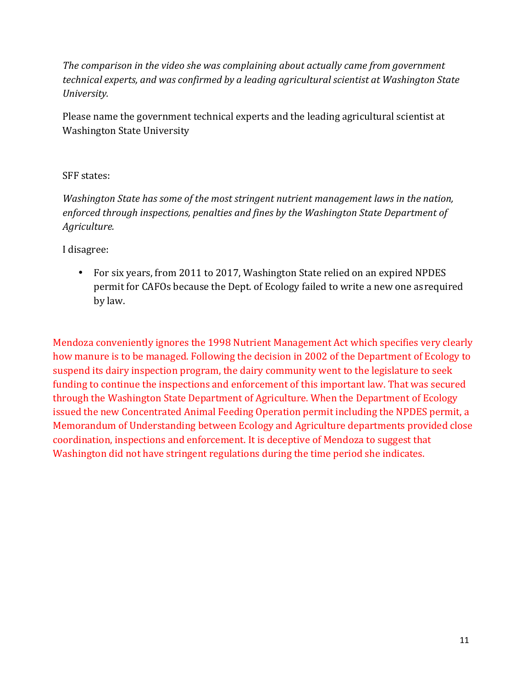The comparison in the video she was complaining about actually came from government *technical experts, and was confirmed by a leading agricultural scientist at Washington State University.*

Please name the government technical experts and the leading agricultural scientist at Washington State University

## SFF states:

*Washington State has some of the most stringent nutrient management laws in the nation,* enforced through inspections, penalties and fines by the Washington State Department of *Agriculture.*

I disagree:

• For six years, from 2011 to 2017, Washington State relied on an expired NPDES permit for CAFOs because the Dept. of Ecology failed to write a new one asrequired by law.

Mendoza conveniently ignores the 1998 Nutrient Management Act which specifies very clearly how manure is to be managed. Following the decision in 2002 of the Department of Ecology to suspend its dairy inspection program, the dairy community went to the legislature to seek funding to continue the inspections and enforcement of this important law. That was secured through the Washington State Department of Agriculture. When the Department of Ecology issued the new Concentrated Animal Feeding Operation permit including the NPDES permit, a Memorandum of Understanding between Ecology and Agriculture departments provided close coordination, inspections and enforcement. It is deceptive of Mendoza to suggest that Washington did not have stringent regulations during the time period she indicates.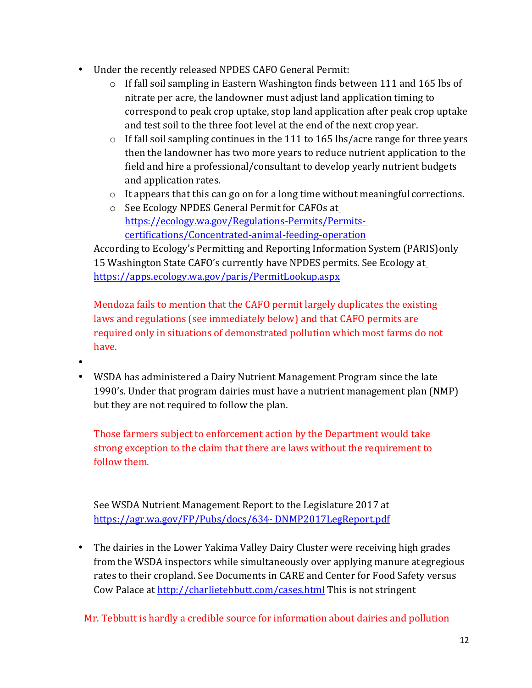- Under the recently released NPDES CAFO General Permit:
	- $\circ$  If fall soil sampling in Eastern Washington finds between 111 and 165 lbs of nitrate per acre, the landowner must adjust land application timing to correspond to peak crop uptake, stop land application after peak crop uptake and test soil to the three foot level at the end of the next crop year.
	- $\circ$  If fall soil sampling continues in the 111 to 165 lbs/acre range for three years then the landowner has two more years to reduce nutrient application to the field and hire a professional/consultant to develop yearly nutrient budgets and application rates.
	- $\circ$  It appears that this can go on for a long time without meaningful corrections.
	- $\circ$  See Ecology NPDES General Permit for CAFOs at https://ecology.wa.gov/Regulations-Permits/Permitscertifications/Concentrated-animal-feeding-operation

According to Ecology's Permitting and Reporting Information System (PARIS) only 15 Washington State CAFO's currently have NPDES permits. See Ecology at https://apps.ecology.wa.gov/paris/PermitLookup.aspx

Mendoza fails to mention that the CAFO permit largely duplicates the existing laws and regulations (see immediately below) and that CAFO permits are required only in situations of demonstrated pollution which most farms do not have.

- •
- WSDA has administered a Dairy Nutrient Management Program since the late 1990's. Under that program dairies must have a nutrient management plan (NMP) but they are not required to follow the plan.

Those farmers subject to enforcement action by the Department would take strong exception to the claim that there are laws without the requirement to follow them.

See WSDA Nutrient Management Report to the Legislature 2017 at https://agr.wa.gov/FP/Pubs/docs/634- DNMP2017LegReport.pdf

• The dairies in the Lower Yakima Valley Dairy Cluster were receiving high grades from the WSDA inspectors while simultaneously over applying manure at egregious rates to their cropland. See Documents in CARE and Center for Food Safety versus Cow Palace at http://charlietebbutt.com/cases.html This is not stringent

Mr. Tebbutt is hardly a credible source for information about dairies and pollution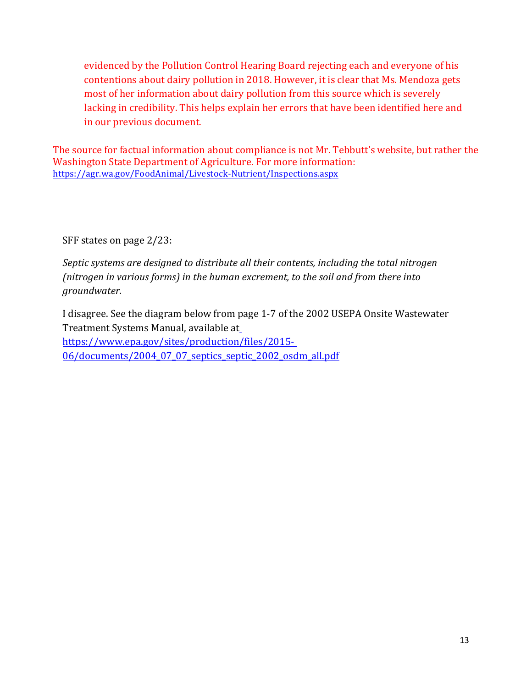evidenced by the Pollution Control Hearing Board rejecting each and everyone of his contentions about dairy pollution in 2018. However, it is clear that Ms. Mendoza gets most of her information about dairy pollution from this source which is severely lacking in credibility. This helps explain her errors that have been identified here and in our previous document.

The source for factual information about compliance is not Mr. Tebbutt's website, but rather the Washington State Department of Agriculture. For more information: https://agr.wa.gov/FoodAnimal/Livestock-Nutrient/Inspections.aspx

SFF states on page 2/23:

*Septic systems are designed to distribute all their contents, including the total nitrogen (nitrogen in various forms) in the human excrement, to the soil and from there into groundwater.*

I disagree. See the diagram below from page 1-7 of the 2002 USEPA Onsite Wastewater Treatment Systems Manual, available at https://www.epa.gov/sites/production/files/2015- 06/documents/2004\_07\_07\_septics\_septic\_2002\_osdm\_all.pdf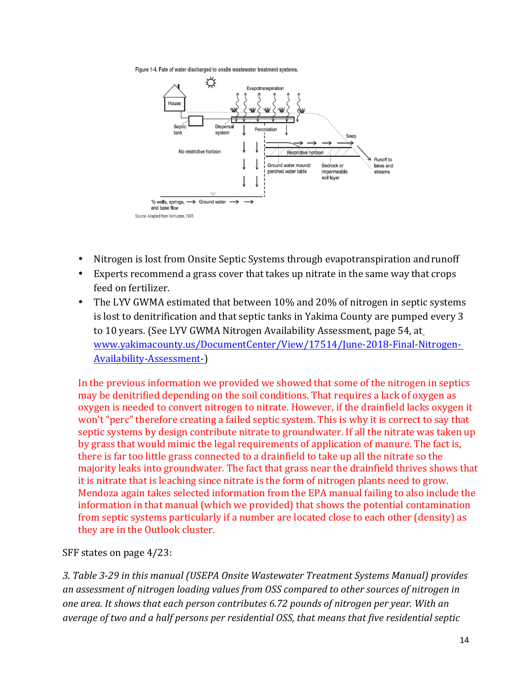Figure 1-4. Fate of water discharged to onsite wastewater treatment systems.



- Nitrogen is lost from Onsite Septic Systems through evapotranspiration and runoff
- Experts recommend a grass cover that takes up nitrate in the same way that crops feed on fertilizer.
- The LYV GWMA estimated that between 10% and 20% of nitrogen in septic systems is lost to denitrification and that septic tanks in Yakima County are pumped every 3 to 10 years. (See LYV GWMA Nitrogen Availability Assessment, page 54, at www.yakimacounty.us/DocumentCenter/View/17514/June-2018-Final-Nitrogen-Availability-Assessment-)

In the previous information we provided we showed that some of the nitrogen in septics may be denitrified depending on the soil conditions. That requires a lack of oxygen as oxygen is needed to convert nitrogen to nitrate. However, if the drainfield lacks oxygen it won't "perc" therefore creating a failed septic system. This is why it is correct to say that septic systems by design contribute nitrate to groundwater. If all the nitrate was taken up by grass that would mimic the legal requirements of application of manure. The fact is, there is far too little grass connected to a drainfield to take up all the nitrate so the majority leaks into groundwater. The fact that grass near the drainfield thrives shows that it is nitrate that is leaching since nitrate is the form of nitrogen plants need to grow. Mendoza again takes selected information from the EPA manual failing to also include the information in that manual (which we provided) that shows the potential contamination from septic systems particularly if a number are located close to each other (density) as they are in the Outlook cluster.

SFF states on page 4/23:

3. Table 3-29 in this manual *(USEPA Onsite Wastewater Treatment Systems Manual)* provides an assessment of nitrogen *loading values* from *OSS* compared to other sources of nitrogen in one area. It shows that each person contributes 6.72 pounds of nitrogen per year. With an average of two and a half persons per residential OSS, that means that five residential septic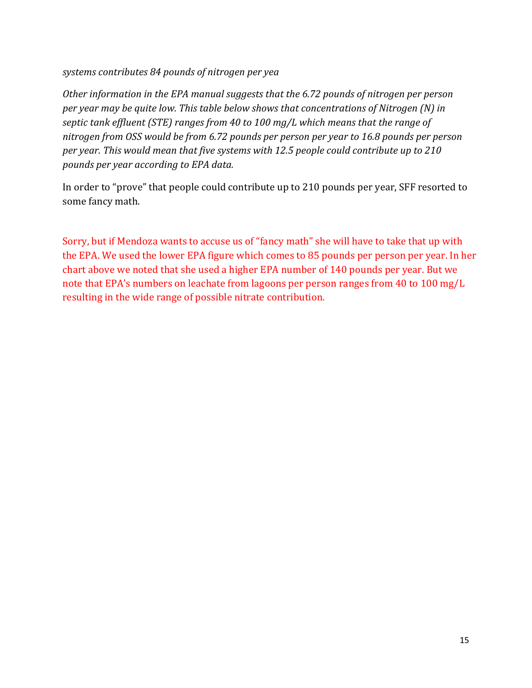systems contributes 84 pounds of nitrogen per yea

*Other information in the EPA manual suggests that the 6.72 pounds of nitrogen per person per year may be quite low. This table below shows that concentrations of Nitrogen (N) in septic tank effluent (STE) ranges from 40 to 100 mg/L which means that the range of* nitrogen from OSS would be from 6.72 pounds per person per year to 16.8 pounds per person per year. This would mean that five systems with 12.5 people could contribute up to 210 *pounds per year according to EPA data.*

In order to "prove" that people could contribute up to 210 pounds per year, SFF resorted to some fancy math.

Sorry, but if Mendoza wants to accuse us of "fancy math" she will have to take that up with the EPA. We used the lower EPA figure which comes to 85 pounds per person per year. In her chart above we noted that she used a higher EPA number of 140 pounds per year. But we note that EPA's numbers on leachate from lagoons per person ranges from 40 to 100 mg/L resulting in the wide range of possible nitrate contribution.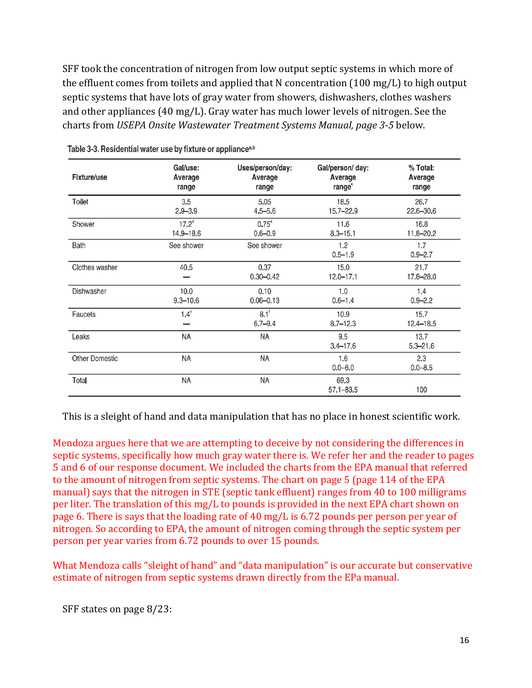SFF took the concentration of nitrogen from low output septic systems in which more of the effluent comes from toilets and applied that N concentration  $(100 \text{ mg/L})$  to high output septic systems that have lots of gray water from showers, dishwashers, clothes washers and other appliances  $(40 \text{ mg/L})$ . Gray water has much lower levels of nitrogen. See the charts from *USEPA Onsite Wastewater Treatment Systems Manual, page 3-5* below.

| <b>Fixture/use</b>    | Gal/use:<br>Average<br>range | Uses/person/day:<br>Average<br>range | Gal/person/ day:<br>Average<br>range <sup>c</sup> | % Total:<br>Average<br>range |
|-----------------------|------------------------------|--------------------------------------|---------------------------------------------------|------------------------------|
| Toilet                | 3.5<br>$2.9 - 3.9$           | 5.05<br>$4.5 - 5.6$                  | 18.5<br>$15.7 - 22.9$                             | 26.7<br>$22.6 - 30.6$        |
| Shower                | $17.2^d$<br>14,9-18.6        | $0.75$ <sup>d</sup><br>$0.6 - 0.9$   | 11.6<br>$8.3 - 15.1$                              | 16.8<br>11.8-20.2            |
| Bath                  | See shower                   | See shower                           | 1.2<br>$0.5 - 1.9$                                | 1.7<br>$0.9 - 2.7$           |
| Clothes washer        | 40.5                         | 0.37<br>$0.30 - 0.42$                | 15.0<br>$12.0 - 17.1$                             | 21.7<br>17.8-28.0            |
| Dishwasher            | 10.0<br>$9.3 - 10.6$         | 0.10<br>$0.06 - 0.13$                | 1.0<br>$0.6 - 1.4$                                | 1.4<br>$0.9 - 2.2$           |
| Faucets               | $1.4^\circ$                  | 8.1 <sup>1</sup><br>$6.7 - 9.4$      | 10.9<br>$8.7 - 12.3$                              | 15.7<br>12.4-18.5            |
| Leaks                 | NA                           | NA                                   | 9.5<br>$3.4 - 17.6$                               | 13.7<br>$5.3 - 21.6$         |
| <b>Other Domestic</b> | <b>NA</b>                    | <b>NA</b>                            | 1.6<br>$0.0 - 6.0$                                | 2.3<br>$0.0 - 8.5$           |
| Total                 | ΝA                           | NA                                   | 69.3<br>$57.1 - 83.5$                             | 100                          |

Table 3-3. Residential water use by fixture or appliance<sup>a,b</sup>

This is a sleight of hand and data manipulation that has no place in honest scientific work.

Mendoza argues here that we are attempting to deceive by not considering the differences in septic systems, specifically how much gray water there is. We refer her and the reader to pages 5 and 6 of our response document. We included the charts from the EPA manual that referred to the amount of nitrogen from septic systems. The chart on page 5 (page 114 of the EPA manual) says that the nitrogen in STE (septic tank effluent) ranges from 40 to 100 milligrams per liter. The translation of this mg/L to pounds is provided in the next EPA chart shown on page 6. There is says that the loading rate of 40 mg/L is  $6.72$  pounds per person per year of nitrogen. So according to EPA, the amount of nitrogen coming through the septic system per person per year varies from 6.72 pounds to over 15 pounds.

What Mendoza calls "sleight of hand" and "data manipulation" is our accurate but conservative estimate of nitrogen from septic systems drawn directly from the EPa manual.

SFF states on page 8/23: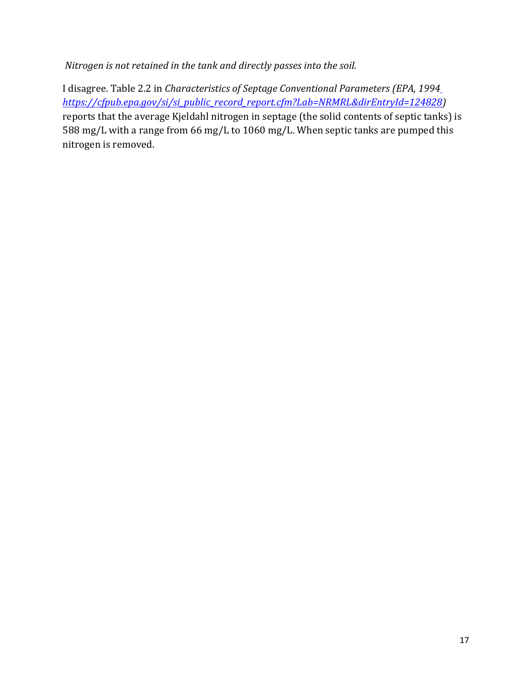*Nitrogen is not retained in the tank and directly passes into the soil.* 

I disagree. Table 2.2 in *Characteristics of Septage Conventional Parameters (EPA, 1994 https://cfpub.epa.gov/si/si\_public\_record\_report.cfm?Lab=NRMRL&dirEntryId=124828)*  reports that the average Kjeldahl nitrogen in septage (the solid contents of septic tanks) is 588 mg/L with a range from 66 mg/L to 1060 mg/L. When septic tanks are pumped this nitrogen is removed.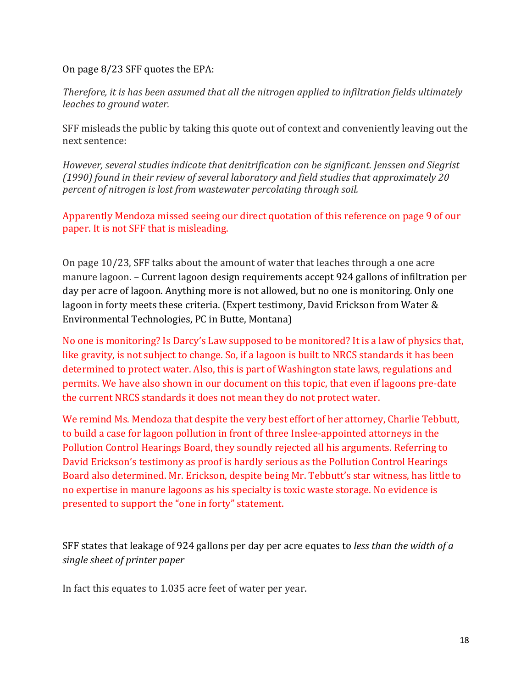On page 8/23 SFF quotes the EPA:

*Therefore, it is has been assumed that all the nitrogen applied to infiltration fields ultimately leaches to ground water.* 

SFF misleads the public by taking this quote out of context and conveniently leaving out the next sentence:

*However, several studies indicate that denitrification can be significant. Jenssen and Siegrist* (1990) found in their review of several laboratory and field studies that approximately 20 *percent of nitrogen is lost from wastewater percolating through soil.* 

Apparently Mendoza missed seeing our direct quotation of this reference on page 9 of our paper. It is not SFF that is misleading.

On page 10/23, SFF talks about the amount of water that leaches through a one acre manure lagoon. – Current lagoon design requirements accept 924 gallons of infiltration per day per acre of lagoon. Anything more is not allowed, but no one is monitoring. Only one lagoon in forty meets these criteria. (Expert testimony, David Erickson from Water  $\&$ Environmental Technologies, PC in Butte, Montana)

No one is monitoring? Is Darcy's Law supposed to be monitored? It is a law of physics that, like gravity, is not subject to change. So, if a lagoon is built to NRCS standards it has been determined to protect water. Also, this is part of Washington state laws, regulations and permits. We have also shown in our document on this topic, that even if lagoons pre-date the current NRCS standards it does not mean they do not protect water.

We remind Ms. Mendoza that despite the very best effort of her attorney, Charlie Tebbutt, to build a case for lagoon pollution in front of three Inslee-appointed attorneys in the Pollution Control Hearings Board, they soundly rejected all his arguments. Referring to David Erickson's testimony as proof is hardly serious as the Pollution Control Hearings Board also determined. Mr. Erickson, despite being Mr. Tebbutt's star witness, has little to no expertise in manure lagoons as his specialty is toxic waste storage. No evidence is presented to support the "one in forty" statement.

SFF states that leakage of 924 gallons per day per acre equates to *less than the width of a single sheet of printer paper*

In fact this equates to 1.035 acre feet of water per year.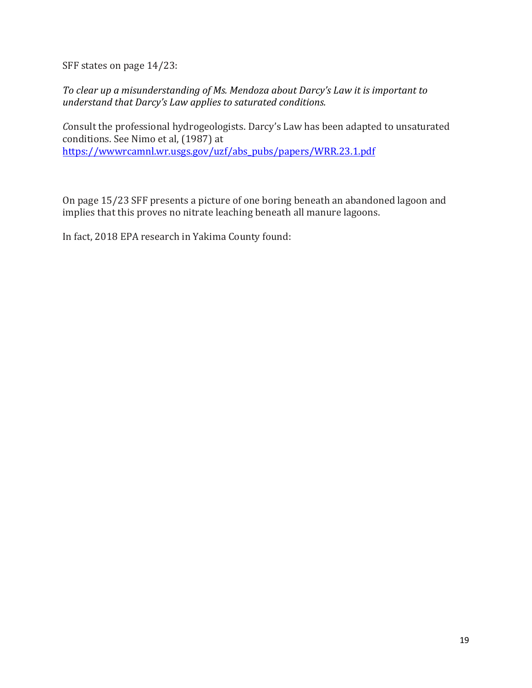SFF states on page 14/23:

*To* clear up a misunderstanding of Ms. Mendoza about Darcy's Law it is important to *understand that Darcy's Law applies to saturated conditions.* 

*Consult* the professional hydrogeologists. Darcy's Law has been adapted to unsaturated conditions. See Nimo et al, (1987) at https://wwwrcamnl.wr.usgs.gov/uzf/abs\_pubs/papers/WRR.23.1.pdf

On page 15/23 SFF presents a picture of one boring beneath an abandoned lagoon and implies that this proves no nitrate leaching beneath all manure lagoons.

In fact, 2018 EPA research in Yakima County found: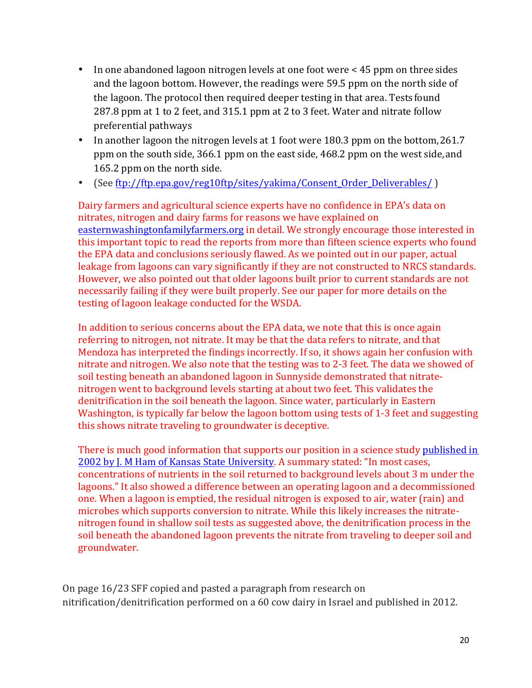- In one abandoned lagoon nitrogen levels at one foot were < 45 ppm on three sides and the lagoon bottom. However, the readings were 59.5 ppm on the north side of the lagoon. The protocol then required deeper testing in that area. Tests found 287.8 ppm at 1 to 2 feet, and 315.1 ppm at 2 to 3 feet. Water and nitrate follow preferential pathways
- In another lagoon the nitrogen levels at 1 foot were 180.3 ppm on the bottom, 261.7 ppm on the south side, 366.1 ppm on the east side, 468.2 ppm on the west side, and 165.2 ppm on the north side.
- (See ftp://ftp.epa.gov/reg10ftp/sites/yakima/Consent\_Order\_Deliverables/ )

Dairy farmers and agricultural science experts have no confidence in EPA's data on nitrates, nitrogen and dairy farms for reasons we have explained on easternwashingtonfamilyfarmers.org in detail. We strongly encourage those interested in this important topic to read the reports from more than fifteen science experts who found the EPA data and conclusions seriously flawed. As we pointed out in our paper, actual leakage from lagoons can vary significantly if they are not constructed to NRCS standards. However, we also pointed out that older lagoons built prior to current standards are not necessarily failing if they were built properly. See our paper for more details on the testing of lagoon leakage conducted for the WSDA.

In addition to serious concerns about the EPA data, we note that this is once again referring to nitrogen, not nitrate. It may be that the data refers to nitrate, and that Mendoza has interpreted the findings incorrectly. If so, it shows again her confusion with nitrate and nitrogen. We also note that the testing was to 2-3 feet. The data we showed of soil testing beneath an abandoned lagoon in Sunnyside demonstrated that nitratenitrogen went to background levels starting at about two feet. This validates the denitrification in the soil beneath the lagoon. Since water, particularly in Eastern Washington, is typically far below the lagoon bottom using tests of 1-3 feet and suggesting this shows nitrate traveling to groundwater is deceptive.

There is much good information that supports our position in a science study published in 2002 by J. M Ham of Kansas State University. A summary stated: "In most cases, concentrations of nutrients in the soil returned to background levels about 3 m under the lagoons." It also showed a difference between an operating lagoon and a decommissioned one. When a lagoon is emptied, the residual nitrogen is exposed to air, water (rain) and microbes which supports conversion to nitrate. While this likely increases the nitratenitrogen found in shallow soil tests as suggested above, the denitrification process in the soil beneath the abandoned lagoon prevents the nitrate from traveling to deeper soil and groundwater.

On page 16/23 SFF copied and pasted a paragraph from research on nitrification/denitrification performed on a 60 cow dairy in Israel and published in 2012.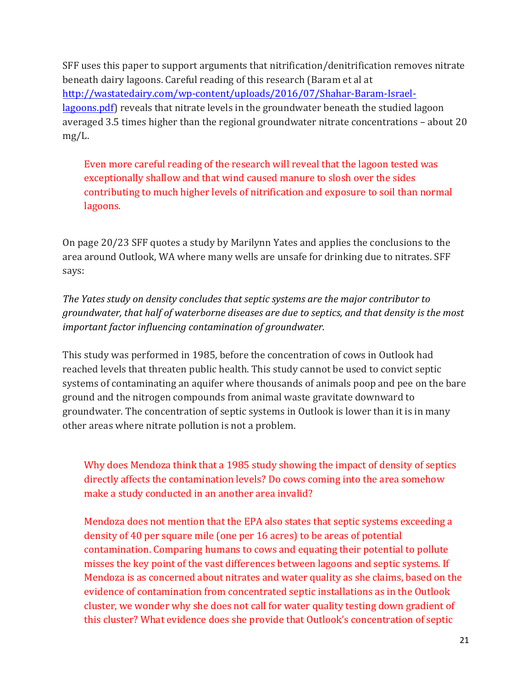SFF uses this paper to support arguments that nitrification/denitrification removes nitrate beneath dairy lagoons. Careful reading of this research (Baram et al at http://wastatedairy.com/wp-content/uploads/2016/07/Shahar-Baram-Israellagoons.pdf) reveals that nitrate levels in the groundwater beneath the studied lagoon averaged  $3.5$  times higher than the regional groundwater nitrate concentrations – about  $20$ mg/L.

Even more careful reading of the research will reveal that the lagoon tested was exceptionally shallow and that wind caused manure to slosh over the sides contributing to much higher levels of nitrification and exposure to soil than normal lagoons.

On page 20/23 SFF quotes a study by Marilynn Yates and applies the conclusions to the area around Outlook, WA where many wells are unsafe for drinking due to nitrates. SFF says:

The Yates study on density concludes that septic systems are the major contributor to groundwater, that half of waterborne diseases are due to septics, and that density is the most *important factor influencing contamination of groundwater.* 

This study was performed in 1985, before the concentration of cows in Outlook had reached levels that threaten public health. This study cannot be used to convict septic systems of contaminating an aquifer where thousands of animals poop and pee on the bare ground and the nitrogen compounds from animal waste gravitate downward to groundwater. The concentration of septic systems in Outlook is lower than it is in many other areas where nitrate pollution is not a problem.

Why does Mendoza think that a 1985 study showing the impact of density of septics directly affects the contamination levels? Do cows coming into the area somehow make a study conducted in an another area invalid?

Mendoza does not mention that the EPA also states that septic systems exceeding a density of 40 per square mile (one per 16 acres) to be areas of potential contamination. Comparing humans to cows and equating their potential to pollute misses the key point of the vast differences between lagoons and septic systems. If Mendoza is as concerned about nitrates and water quality as she claims, based on the evidence of contamination from concentrated septic installations as in the Outlook cluster, we wonder why she does not call for water quality testing down gradient of this cluster? What evidence does she provide that Outlook's concentration of septic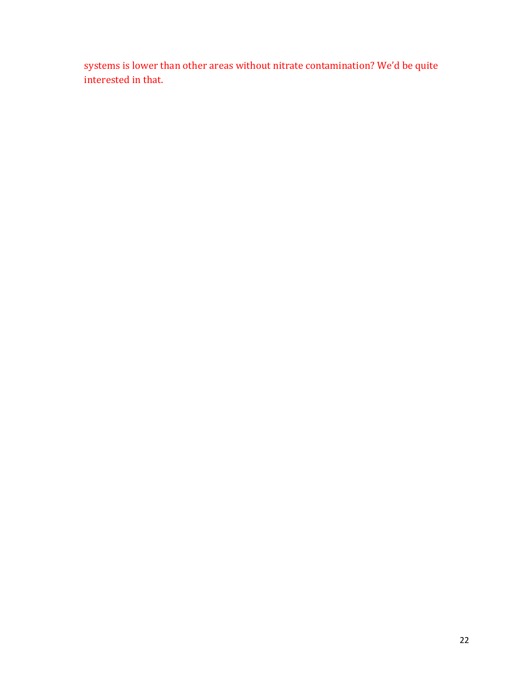systems is lower than other areas without nitrate contamination? We'd be quite interested in that.